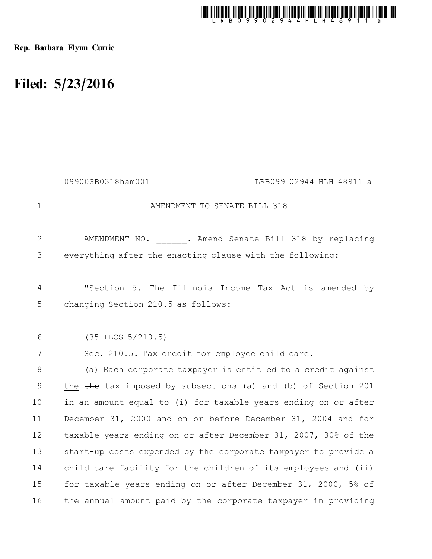

Rep. Barbara Flynn Currie

## Filed: 5/23/2016

|                | 09900SB0318ham001<br>LRB099 02944 HLH 48911 a                  |
|----------------|----------------------------------------------------------------|
| $\mathbf 1$    | AMENDMENT TO SENATE BILL 318                                   |
| $\overline{2}$ | AMENDMENT NO. . Amend Senate Bill 318 by replacing             |
| 3              | everything after the enacting clause with the following:       |
| $\overline{4}$ | "Section 5. The Illinois Income Tax Act is amended by          |
| 5              | changing Section 210.5 as follows:                             |
| 6              | $(35$ ILCS $5/210.5)$                                          |
| 7              | Sec. 210.5. Tax credit for employee child care.                |
| 8              | (a) Each corporate taxpayer is entitled to a credit against    |
| 9              | the the tax imposed by subsections (a) and (b) of Section 201  |
| 10             | in an amount equal to (i) for taxable years ending on or after |
| 11             | December 31, 2000 and on or before December 31, 2004 and for   |
| 12             | taxable years ending on or after December 31, 2007, 30% of the |
| 13             | start-up costs expended by the corporate taxpayer to provide a |
| 14             | child care facility for the children of its employees and (ii) |
| 15             | for taxable years ending on or after December 31, 2000, 5% of  |
| 16             | the annual amount paid by the corporate taxpayer in providing  |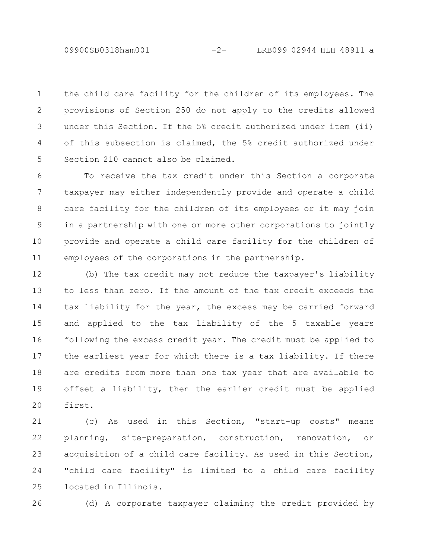09900SB0318ham001 -2- LRB099 02944 HLH 48911 a

the child care facility for the children of its employees. The provisions of Section 250 do not apply to the credits allowed under this Section. If the 5% credit authorized under item (ii) of this subsection is claimed, the 5% credit authorized under Section 210 cannot also be claimed. 1 2 3 4 5

To receive the tax credit under this Section a corporate taxpayer may either independently provide and operate a child care facility for the children of its employees or it may join in a partnership with one or more other corporations to jointly provide and operate a child care facility for the children of employees of the corporations in the partnership. 6 7 8 9 10 11

(b) The tax credit may not reduce the taxpayer's liability to less than zero. If the amount of the tax credit exceeds the tax liability for the year, the excess may be carried forward and applied to the tax liability of the 5 taxable years following the excess credit year. The credit must be applied to the earliest year for which there is a tax liability. If there are credits from more than one tax year that are available to offset a liability, then the earlier credit must be applied first. 12 13 14 15 16 17 18 19 20

(c) As used in this Section, "start-up costs" means planning, site-preparation, construction, renovation, or acquisition of a child care facility. As used in this Section, "child care facility" is limited to a child care facility located in Illinois. 21 22 23 24 25

26

(d) A corporate taxpayer claiming the credit provided by